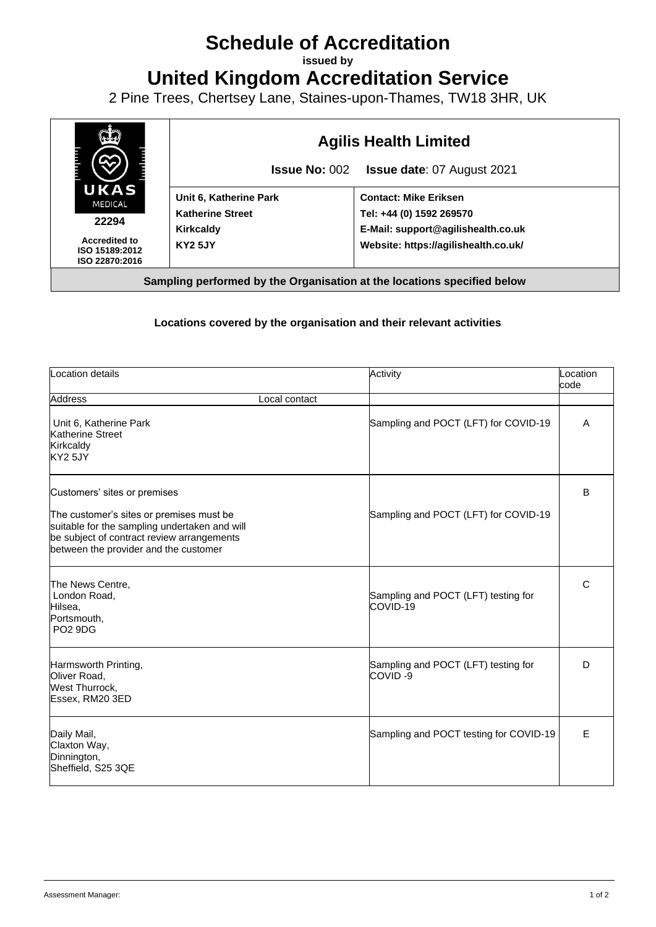## **Schedule of Accreditation**

**issued by**

**United Kingdom Accreditation Service**

2 Pine Trees, Chertsey Lane, Staines-upon-Thames, TW18 3HR, UK



## **Locations covered by the organisation and their relevant activities**

| Location details                                                                                                                                                                                                 | Activity                                        | Location<br>code |
|------------------------------------------------------------------------------------------------------------------------------------------------------------------------------------------------------------------|-------------------------------------------------|------------------|
| <b>Address</b><br>Local contact                                                                                                                                                                                  |                                                 |                  |
| Unit 6, Katherine Park<br>Katherine Street<br>Kirkcaldy<br>KY2 5JY                                                                                                                                               | Sampling and POCT (LFT) for COVID-19            | A                |
| Customers' sites or premises<br>The customer's sites or premises must be<br>suitable for the sampling undertaken and will<br>be subject of contract review arrangements<br>between the provider and the customer | Sampling and POCT (LFT) for COVID-19            | B                |
| The News Centre,<br>London Road,<br>Hilsea,<br>Portsmouth,<br><b>PO2 9DG</b>                                                                                                                                     | Sampling and POCT (LFT) testing for<br>COVID-19 | C                |
| Harmsworth Printing,<br>Oliver Road,<br>West Thurrock,<br>Essex, RM20 3ED                                                                                                                                        | Sampling and POCT (LFT) testing for<br>COVID-9  | D                |
| Daily Mail,<br>Claxton Way,<br>Dinnington,<br>Sheffield, S25 3QE                                                                                                                                                 | Sampling and POCT testing for COVID-19          | E                |